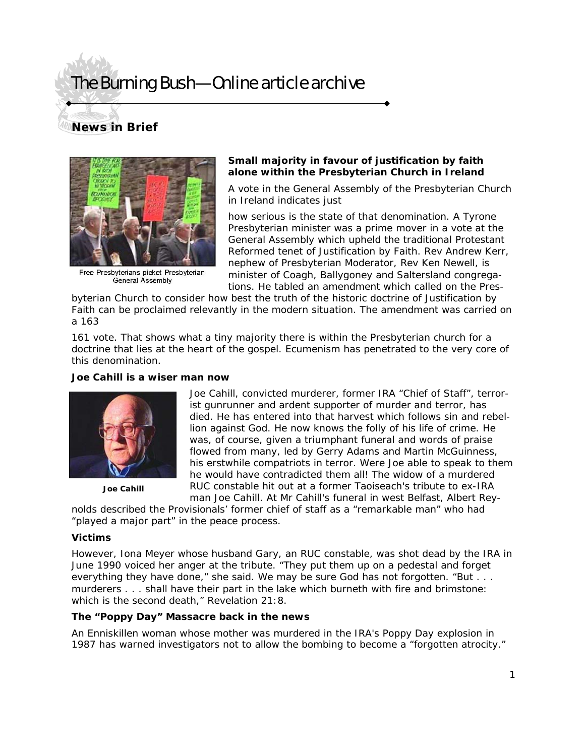# The Burning Bush—Online article archive

### **News in Brief**



Free Presbyterians picket Presbyterian **General Assembly** 

#### **Small majority in favour of justification by faith alone within the Presbyterian Church in Ireland**

A vote in the General Assembly of the Presbyterian Church in Ireland indicates just

how serious is the state of that denomination. A Tyrone Presbyterian minister was a prime mover in a vote at the General Assembly which upheld the traditional Protestant Reformed tenet of Justification by Faith. Rev Andrew Kerr, nephew of Presbyterian Moderator, Rev Ken Newell, is minister of Coagh, Ballygoney and Saltersland congregations. He tabled an amendment which called on the Pres-

byterian Church to consider how best the truth of the historic doctrine of Justification by Faith can be proclaimed relevantly in the modern situation. The amendment was carried on a 163

161 vote. That shows what a tiny majority there is within the Presbyterian church for a doctrine that lies at the heart of the gospel. Ecumenism has penetrated to the very core of this denomination.

#### **Joe Cahill is a wiser man now**



**Joe Cahill** 

Joe Cahill, convicted murderer, former IRA "Chief of Staff", terrorist gunrunner and ardent supporter of murder and terror, has died. He has entered into that harvest which follows sin and rebellion against God. He now knows the folly of his life of crime. He was, of course, given a triumphant funeral and words of praise flowed from many, led by Gerry Adams and Martin McGuinness, his erstwhile compatriots in terror. Were Joe able to speak to them he would have contradicted them all! The widow of a murdered RUC constable hit out at a former Taoiseach's tribute to ex-IRA man Joe Cahill. At Mr Cahill's funeral in west Belfast, Albert Rey-

nolds described the Provisionals' former chief of staff as a "remarkable man" who had "played a major part" in the peace process.

#### **Victims**

However, Iona Meyer whose husband Gary, an RUC constable, was shot dead by the IRA in June 1990 voiced her anger at the tribute. "They put them up on a pedestal and forget everything they have done," she said. We may be sure God has not forgotten. "But . . . murderers . . . shall have their part in the lake which burneth with fire and brimstone: which is the second death," Revelation 21:8.

#### **The "Poppy Day" Massacre back in the news**

An Enniskillen woman whose mother was murdered in the IRA's Poppy Day explosion in 1987 has warned investigators not to allow the bombing to become a "forgotten atrocity."